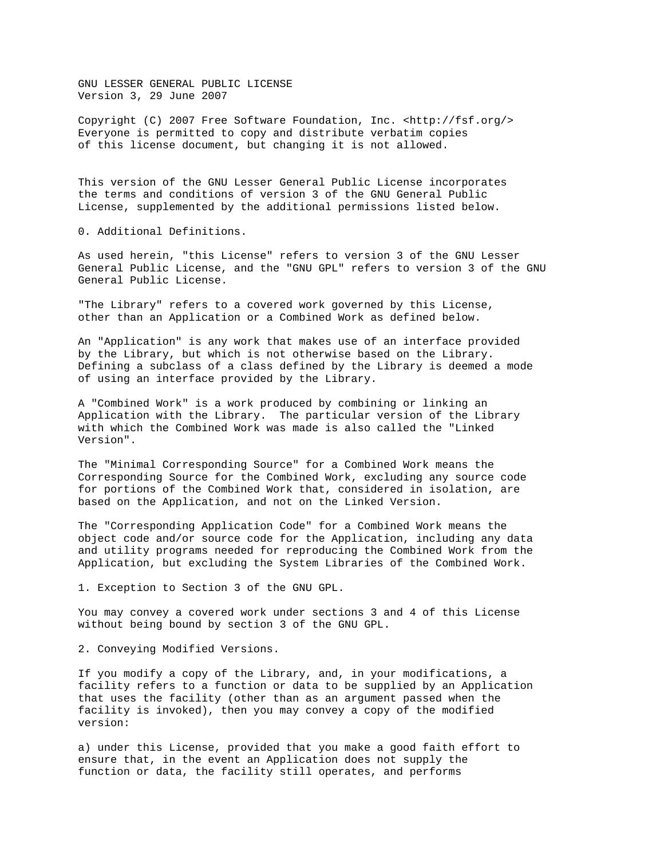GNU LESSER GENERAL PUBLIC LICENSE Version 3, 29 June 2007

Copyright (C) 2007 Free Software Foundation, Inc. <http://fsf.org/> Everyone is permitted to copy and distribute verbatim copies of this license document, but changing it is not allowed.

This version of the GNU Lesser General Public License incorporates the terms and conditions of version 3 of the GNU General Public License, supplemented by the additional permissions listed below.

0. Additional Definitions.

As used herein, "this License" refers to version 3 of the GNU Lesser General Public License, and the "GNU GPL" refers to version 3 of the GNU General Public License.

"The Library" refers to a covered work governed by this License, other than an Application or a Combined Work as defined below.

An "Application" is any work that makes use of an interface provided by the Library, but which is not otherwise based on the Library. Defining a subclass of a class defined by the Library is deemed a mode of using an interface provided by the Library.

A "Combined Work" is a work produced by combining or linking an Application with the Library. The particular version of the Library with which the Combined Work was made is also called the "Linked Version".

The "Minimal Corresponding Source" for a Combined Work means the Corresponding Source for the Combined Work, excluding any source code for portions of the Combined Work that, considered in isolation, are based on the Application, and not on the Linked Version.

The "Corresponding Application Code" for a Combined Work means the object code and/or source code for the Application, including any data and utility programs needed for reproducing the Combined Work from the Application, but excluding the System Libraries of the Combined Work.

1. Exception to Section 3 of the GNU GPL.

You may convey a covered work under sections 3 and 4 of this License without being bound by section 3 of the GNU GPL.

2. Conveying Modified Versions.

If you modify a copy of the Library, and, in your modifications, a facility refers to a function or data to be supplied by an Application that uses the facility (other than as an argument passed when the facility is invoked), then you may convey a copy of the modified version:

a) under this License, provided that you make a good faith effort to ensure that, in the event an Application does not supply the function or data, the facility still operates, and performs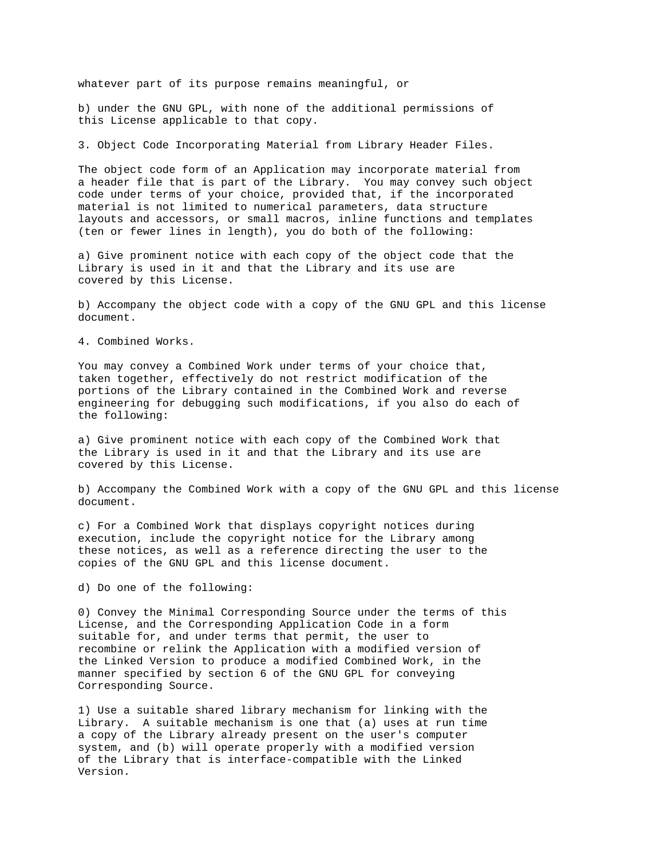whatever part of its purpose remains meaningful, or

b) under the GNU GPL, with none of the additional permissions of this License applicable to that copy.

3. Object Code Incorporating Material from Library Header Files.

The object code form of an Application may incorporate material from a header file that is part of the Library. You may convey such object code under terms of your choice, provided that, if the incorporated material is not limited to numerical parameters, data structure layouts and accessors, or small macros, inline functions and templates (ten or fewer lines in length), you do both of the following:

a) Give prominent notice with each copy of the object code that the Library is used in it and that the Library and its use are covered by this License.

b) Accompany the object code with a copy of the GNU GPL and this license document.

4. Combined Works.

You may convey a Combined Work under terms of your choice that, taken together, effectively do not restrict modification of the portions of the Library contained in the Combined Work and reverse engineering for debugging such modifications, if you also do each of the following:

a) Give prominent notice with each copy of the Combined Work that the Library is used in it and that the Library and its use are covered by this License.

b) Accompany the Combined Work with a copy of the GNU GPL and this license document.

c) For a Combined Work that displays copyright notices during execution, include the copyright notice for the Library among these notices, as well as a reference directing the user to the copies of the GNU GPL and this license document.

d) Do one of the following:

0) Convey the Minimal Corresponding Source under the terms of this License, and the Corresponding Application Code in a form suitable for, and under terms that permit, the user to recombine or relink the Application with a modified version of the Linked Version to produce a modified Combined Work, in the manner specified by section 6 of the GNU GPL for conveying Corresponding Source.

1) Use a suitable shared library mechanism for linking with the Library. A suitable mechanism is one that (a) uses at run time a copy of the Library already present on the user's computer system, and (b) will operate properly with a modified version of the Library that is interface-compatible with the Linked Version.